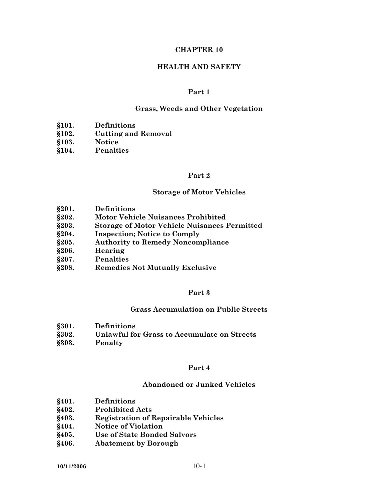### **CHAPTER 10**

# **HEALTH AND SAFETY**

#### **Part 1**

#### **Grass, Weeds and Other Vegetation**

- **§101. Definitions**
- **§102. Cutting and Removal**
- **§103. Notice**
- **§104. Penalties**

#### **Part 2**

#### **Storage of Motor Vehicles**

- **§201. Definitions**
- **§202. Motor Vehicle Nuisances Prohibited**
- **§203. Storage of Motor Vehicle Nuisances Permitted**
- **§204. Inspection; Notice to Comply**
- **§205. Authority to Remedy Noncompliance**
- **§206. Hearing**
- **§207. Penalties**
- **§208. Remedies Not Mutually Exclusive**

## **Part 3**

### **Grass Accumulation on Public Streets**

- **§301. Definitions**
- **§302. Unlawful for Grass to Accumulate on Streets**
- **§303. Penalty**

#### **Part 4**

#### **Abandoned or Junked Vehicles**

- **§401. Definitions**
- **§402. Prohibited Acts**
- **§403. Registration of Repairable Vehicles**
- **§404. Notice of Violation**
- **§405. Use of State Bonded Salvors**
- **§406. Abatement by Borough**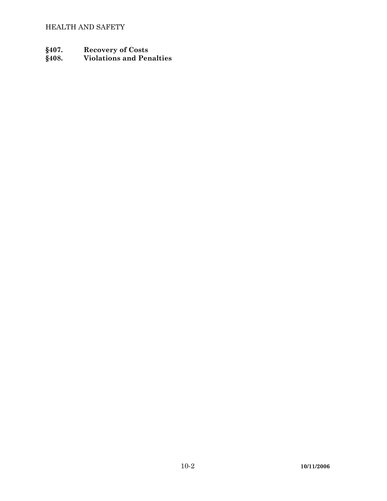- 
- **§407. Recovery of Costs §408. Violations and Penalties**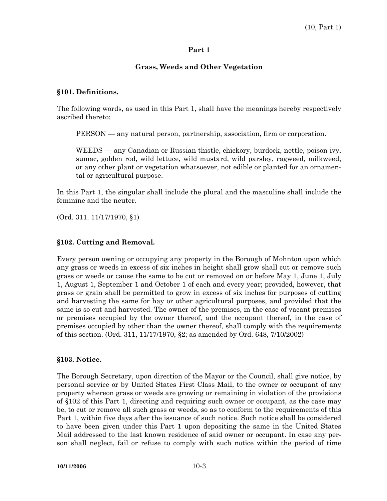# **Grass, Weeds and Other Vegetation**

### **§101. Definitions.**

The following words, as used in this Part 1, shall have the meanings hereby respectively ascribed thereto:

PERSON — any natural person, partnership, association, firm or corporation.

 WEEDS — any Canadian or Russian thistle, chickory, burdock, nettle, poison ivy, sumac, golden rod, wild lettuce, wild mustard, wild parsley, ragweed, milkweed, or any other plant or vegetation whatsoever, not edible or planted for an ornamental or agricultural purpose.

In this Part 1, the singular shall include the plural and the masculine shall include the feminine and the neuter.

(Ord. 311. 11/17/1970, §1)

## **§102. Cutting and Removal.**

Every person owning or occupying any property in the Borough of Mohnton upon which any grass or weeds in excess of six inches in height shall grow shall cut or remove such grass or weeds or cause the same to be cut or removed on or before May 1, June 1, July 1, August 1, September 1 and October 1 of each and every year; provided, however, that grass or grain shall be permitted to grow in excess of six inches for purposes of cutting and harvesting the same for hay or other agricultural purposes, and provided that the same is so cut and harvested. The owner of the premises, in the case of vacant premises or premises occupied by the owner thereof, and the occupant thereof, in the case of premises occupied by other than the owner thereof, shall comply with the requirements of this section. (Ord. 311, 11/17/1970, §2; as amended by Ord. 648, 7/10/2002)

### **§103. Notice.**

The Borough Secretary, upon direction of the Mayor or the Council, shall give notice, by personal service or by United States First Class Mail, to the owner or occupant of any property whereon grass or weeds are growing or remaining in violation of the provisions of §102 of this Part 1, directing and requiring such owner or occupant, as the case may be, to cut or remove all such grass or weeds, so as to conform to the requirements of this Part 1, within five days after the issuance of such notice. Such notice shall be considered to have been given under this Part 1 upon depositing the same in the United States Mail addressed to the last known residence of said owner or occupant. In case any person shall neglect, fail or refuse to comply with such notice within the period of time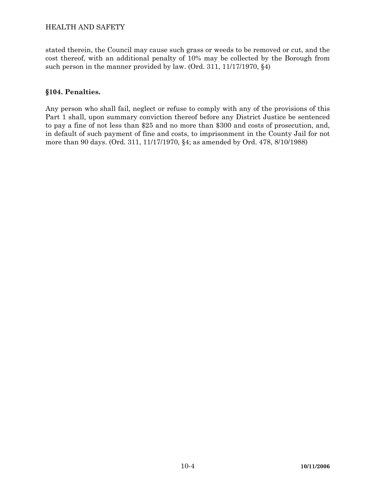stated therein, the Council may cause such grass or weeds to be removed or cut, and the cost thereof, with an additional penalty of 10% may be collected by the Borough from such person in the manner provided by law. (Ord. 311, 11/17/1970, §4)

# **§104. Penalties.**

Any person who shall fail, neglect or refuse to comply with any of the provisions of this Part 1 shall, upon summary conviction thereof before any District Justice be sentenced to pay a fine of not less than \$25 and no more than \$300 and costs of prosecution, and, in default of such payment of fine and costs, to imprisonment in the County Jail for not more than 90 days. (Ord. 311, 11/17/1970, §4; as amended by Ord. 478, 8/10/1988)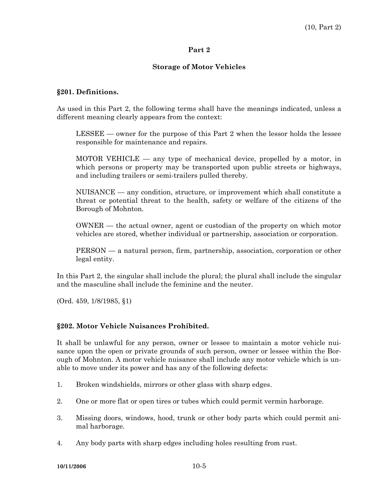### **Storage of Motor Vehicles**

### **§201. Definitions.**

As used in this Part 2, the following terms shall have the meanings indicated, unless a different meaning clearly appears from the context:

 LESSEE — owner for the purpose of this Part 2 when the lessor holds the lessee responsible for maintenance and repairs.

 MOTOR VEHICLE — any type of mechanical device, propelled by a motor, in which persons or property may be transported upon public streets or highways, and including trailers or semi-trailers pulled thereby.

 NUISANCE — any condition, structure, or improvement which shall constitute a threat or potential threat to the health, safety or welfare of the citizens of the Borough of Mohnton.

 OWNER — the actual owner, agent or custodian of the property on which motor vehicles are stored, whether individual or partnership, association or corporation.

 PERSON — a natural person, firm, partnership, association, corporation or other legal entity.

In this Part 2, the singular shall include the plural; the plural shall include the singular and the masculine shall include the feminine and the neuter.

(Ord. 459, 1/8/1985, §1)

### **§202. Motor Vehicle Nuisances Prohibited.**

It shall be unlawful for any person, owner or lessee to maintain a motor vehicle nuisance upon the open or private grounds of such person, owner or lessee within the Borough of Mohnton. A motor vehicle nuisance shall include any motor vehicle which is unable to move under its power and has any of the following defects:

- 1. Broken windshields, mirrors or other glass with sharp edges.
- 2. One or more flat or open tires or tubes which could permit vermin harborage.
- 3. Missing doors, windows, hood, trunk or other body parts which could permit animal harborage.
- 4. Any body parts with sharp edges including holes resulting from rust.

**10/11/2006** 10-5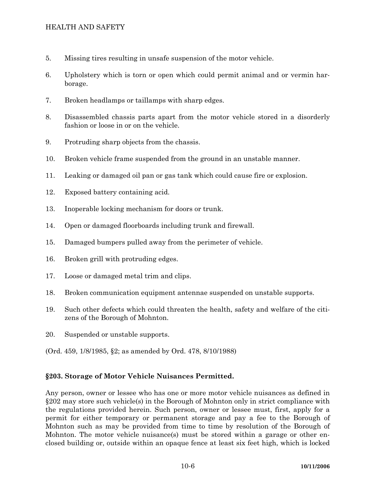# HEALTH AND SAFETY

- 5. Missing tires resulting in unsafe suspension of the motor vehicle.
- 6. Upholstery which is torn or open which could permit animal and or vermin harborage.
- 7. Broken headlamps or taillamps with sharp edges.
- 8. Disassembled chassis parts apart from the motor vehicle stored in a disorderly fashion or loose in or on the vehicle.
- 9. Protruding sharp objects from the chassis.
- 10. Broken vehicle frame suspended from the ground in an unstable manner.
- 11. Leaking or damaged oil pan or gas tank which could cause fire or explosion.
- 12. Exposed battery containing acid.
- 13. Inoperable locking mechanism for doors or trunk.
- 14. Open or damaged floorboards including trunk and firewall.
- 15. Damaged bumpers pulled away from the perimeter of vehicle.
- 16. Broken grill with protruding edges.
- 17. Loose or damaged metal trim and clips.
- 18. Broken communication equipment antennae suspended on unstable supports.
- 19. Such other defects which could threaten the health, safety and welfare of the citizens of the Borough of Mohnton.
- 20. Suspended or unstable supports.
- (Ord. 459, 1/8/1985, §2; as amended by Ord. 478, 8/10/1988)

# **§203. Storage of Motor Vehicle Nuisances Permitted.**

Any person, owner or lessee who has one or more motor vehicle nuisances as defined in §202 may store such vehicle(s) in the Borough of Mohnton only in strict compliance with the regulations provided herein. Such person, owner or lessee must, first, apply for a permit for either temporary or permanent storage and pay a fee to the Borough of Mohnton such as may be provided from time to time by resolution of the Borough of Mohnton. The motor vehicle nuisance(s) must be stored within a garage or other enclosed building or, outside within an opaque fence at least six feet high, which is locked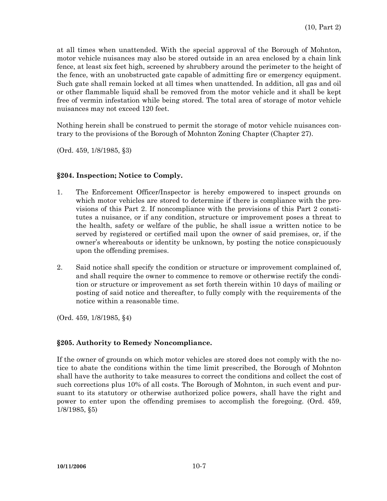at all times when unattended. With the special approval of the Borough of Mohnton, motor vehicle nuisances may also be stored outside in an area enclosed by a chain link fence, at least six feet high, screened by shrubbery around the perimeter to the height of the fence, with an unobstructed gate capable of admitting fire or emergency equipment. Such gate shall remain locked at all times when unattended. In addition, all gas and oil or other flammable liquid shall be removed from the motor vehicle and it shall be kept free of vermin infestation while being stored. The total area of storage of motor vehicle nuisances may not exceed 120 feet.

Nothing herein shall be construed to permit the storage of motor vehicle nuisances contrary to the provisions of the Borough of Mohnton Zoning Chapter (Chapter 27).

(Ord. 459, 1/8/1985, §3)

## **§204. Inspection; Notice to Comply.**

- 1. The Enforcement Officer/Inspector is hereby empowered to inspect grounds on which motor vehicles are stored to determine if there is compliance with the provisions of this Part 2. If noncompliance with the provisions of this Part 2 constitutes a nuisance, or if any condition, structure or improvement poses a threat to the health, safety or welfare of the public, he shall issue a written notice to be served by registered or certified mail upon the owner of said premises, or, if the owner's whereabouts or identity be unknown, by posting the notice conspicuously upon the offending premises.
- 2. Said notice shall specify the condition or structure or improvement complained of, and shall require the owner to commence to remove or otherwise rectify the condition or structure or improvement as set forth therein within 10 days of mailing or posting of said notice and thereafter, to fully comply with the requirements of the notice within a reasonable time.

(Ord. 459, 1/8/1985, §4)

# **§205. Authority to Remedy Noncompliance.**

If the owner of grounds on which motor vehicles are stored does not comply with the notice to abate the conditions within the time limit prescribed, the Borough of Mohnton shall have the authority to take measures to correct the conditions and collect the cost of such corrections plus 10% of all costs. The Borough of Mohnton, in such event and pursuant to its statutory or otherwise authorized police powers, shall have the right and power to enter upon the offending premises to accomplish the foregoing. (Ord. 459, 1/8/1985, §5)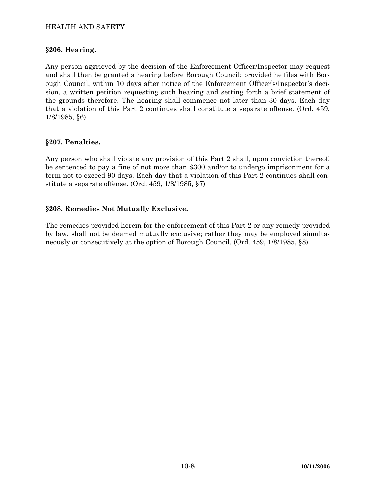# HEALTH AND SAFETY

### **§206. Hearing.**

Any person aggrieved by the decision of the Enforcement Officer/Inspector may request and shall then be granted a hearing before Borough Council; provided he files with Borough Council, within 10 days after notice of the Enforcement Officer's/Inspector's decision, a written petition requesting such hearing and setting forth a brief statement of the grounds therefore. The hearing shall commence not later than 30 days. Each day that a violation of this Part 2 continues shall constitute a separate offense. (Ord. 459, 1/8/1985, §6)

## **§207. Penalties.**

Any person who shall violate any provision of this Part 2 shall, upon conviction thereof, be sentenced to pay a fine of not more than \$300 and/or to undergo imprisonment for a term not to exceed 90 days. Each day that a violation of this Part 2 continues shall constitute a separate offense. (Ord. 459, 1/8/1985, §7)

## **§208. Remedies Not Mutually Exclusive.**

The remedies provided herein for the enforcement of this Part 2 or any remedy provided by law, shall not be deemed mutually exclusive; rather they may be employed simultaneously or consecutively at the option of Borough Council. (Ord. 459, 1/8/1985, §8)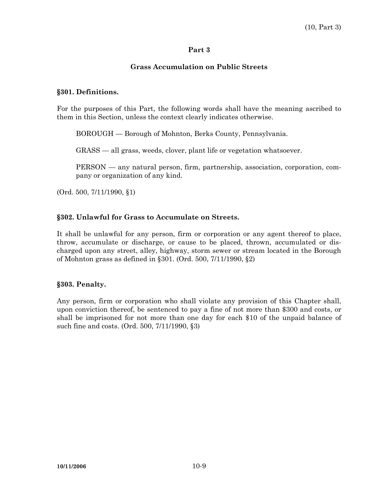# **Grass Accumulation on Public Streets**

## **§301. Definitions.**

For the purposes of this Part, the following words shall have the meaning ascribed to them in this Section, unless the context clearly indicates otherwise.

BOROUGH — Borough of Mohnton, Berks County, Pennsylvania.

GRASS — all grass, weeds, clover, plant life or vegetation whatsoever.

 PERSON — any natural person, firm, partnership, association, corporation, company or organization of any kind.

(Ord. 500, 7/11/1990, §1)

# **§302. Unlawful for Grass to Accumulate on Streets.**

It shall be unlawful for any person, firm or corporation or any agent thereof to place, throw, accumulate or discharge, or cause to be placed, thrown, accumulated or discharged upon any street, alley, highway, storm sewer or stream located in the Borough of Mohnton grass as defined in §301. (Ord. 500, 7/11/1990, §2)

# **§303. Penalty.**

Any person, firm or corporation who shall violate any provision of this Chapter shall, upon conviction thereof, be sentenced to pay a fine of not more than \$300 and costs, or shall be imprisoned for not more than one day for each \$10 of the unpaid balance of such fine and costs. (Ord. 500, 7/11/1990, §3)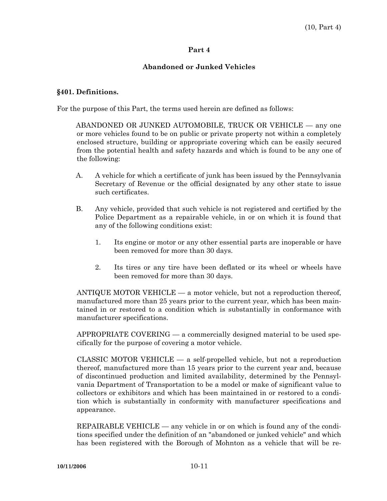# **Abandoned or Junked Vehicles**

### **§401. Definitions.**

For the purpose of this Part, the terms used herein are defined as follows:

 ABANDONED OR JUNKED AUTOMOBILE, TRUCK OR VEHICLE — any one or more vehicles found to be on public or private property not within a completely enclosed structure, building or appropriate covering which can be easily secured from the potential health and safety hazards and which is found to be any one of the following:

- A. A vehicle for which a certificate of junk has been issued by the Pennsylvania Secretary of Revenue or the official designated by any other state to issue such certificates.
- B. Any vehicle, provided that such vehicle is not registered and certified by the Police Department as a repairable vehicle, in or on which it is found that any of the following conditions exist:
	- 1. Its engine or motor or any other essential parts are inoperable or have been removed for more than 30 days.
	- 2. Its tires or any tire have been deflated or its wheel or wheels have been removed for more than 30 days.

 ANTIQUE MOTOR VEHICLE — a motor vehicle, but not a reproduction thereof, manufactured more than 25 years prior to the current year, which has been maintained in or restored to a condition which is substantially in conformance with manufacturer specifications.

 APPROPRIATE COVERING — a commercially designed material to be used specifically for the purpose of covering a motor vehicle.

 CLASSIC MOTOR VEHICLE — a self-propelled vehicle, but not a reproduction thereof, manufactured more than 15 years prior to the current year and, because of discontinued production and limited availability, determined by the Pennsylvania Department of Transportation to be a model or make of significant value to collectors or exhibitors and which has been maintained in or restored to a condition which is substantially in conformity with manufacturer specifications and appearance.

REPAIRABLE VEHICLE — any vehicle in or on which is found any of the conditions specified under the definition of an "abandoned or junked vehicle" and which has been registered with the Borough of Mohnton as a vehicle that will be re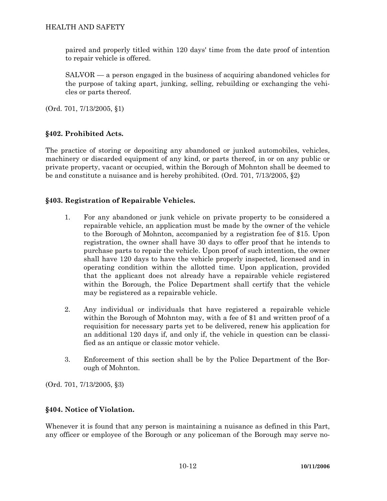paired and properly titled within 120 days' time from the date proof of intention to repair vehicle is offered.

 SALVOR — a person engaged in the business of acquiring abandoned vehicles for the purpose of taking apart, junking, selling, rebuilding or exchanging the vehicles or parts thereof.

(Ord. 701, 7/13/2005, §1)

# **§402. Prohibited Acts.**

The practice of storing or depositing any abandoned or junked automobiles, vehicles, machinery or discarded equipment of any kind, or parts thereof, in or on any public or private property, vacant or occupied, within the Borough of Mohnton shall be deemed to be and constitute a nuisance and is hereby prohibited. (Ord. 701, 7/13/2005, §2)

# **§403. Registration of Repairable Vehicles.**

- 1. For any abandoned or junk vehicle on private property to be considered a repairable vehicle, an application must be made by the owner of the vehicle to the Borough of Mohnton, accompanied by a registration fee of \$15. Upon registration, the owner shall have 30 days to offer proof that he intends to purchase parts to repair the vehicle. Upon proof of such intention, the owner shall have 120 days to have the vehicle properly inspected, licensed and in operating condition within the allotted time. Upon application, provided that the applicant does not already have a repairable vehicle registered within the Borough, the Police Department shall certify that the vehicle may be registered as a repairable vehicle.
- 2. Any individual or individuals that have registered a repairable vehicle within the Borough of Mohnton may, with a fee of \$1 and written proof of a requisition for necessary parts yet to be delivered, renew his application for an additional 120 days if, and only if, the vehicle in question can be classified as an antique or classic motor vehicle.
- 3. Enforcement of this section shall be by the Police Department of the Borough of Mohnton.

(Ord. 701, 7/13/2005, §3)

# **§404. Notice of Violation.**

Whenever it is found that any person is maintaining a nuisance as defined in this Part, any officer or employee of the Borough or any policeman of the Borough may serve no